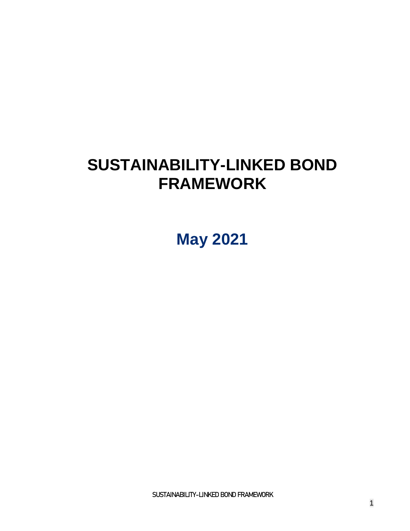# **SUSTAINABILITY-LINKED BOND FRAMEWORK**

**May 2021**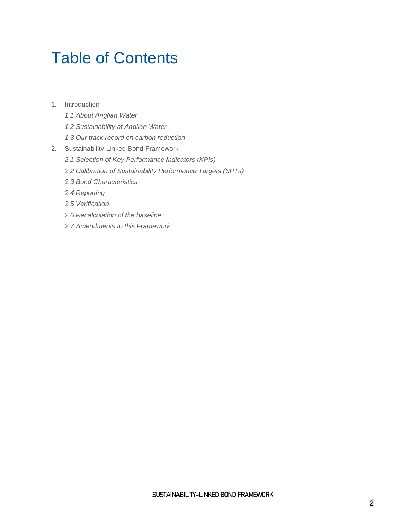# Table of Contents

- 1. [Introduction](#page-2-0)
	- *[1.1 About Anglian Water](#page-2-1)*
	- *[1.2 Sustainability at Anglian Water](#page-3-0)*
	- *[1.3 Our track record on carbon reduction](#page-4-0)*
- 2. [Sustainability-Linked Bond Framework](#page-4-1)
	- *2.1 Selection [of Key Performance Indicators \(KPIs\)](#page-5-0)*
	- *[2.2 Calibration of Sustainability Performance Targets \(SPTs\)](#page-10-0)*
	- *[2.3 Bond Characteristics](#page-14-0)*
	- *[2.4 Reporting](#page-14-1)*
	- *[2.5 Verification](#page-14-2)*
	- *[2.6 Recalculation of the baseline](#page-15-0)*
	- *[2.7 Amendments to this Framework](#page-15-1)*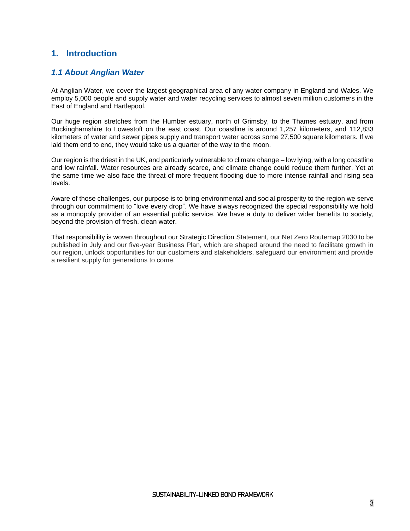# <span id="page-2-0"></span>**1. Introduction**

# <span id="page-2-1"></span>*1.1 About Anglian Water*

At Anglian Water, we cover the largest geographical area of any water company in England and Wales. We employ 5,000 people and supply water and water recycling services to almost seven million customers in the East of England and Hartlepool.

Our huge region stretches from the Humber estuary, north of Grimsby, to the Thames estuary, and from Buckinghamshire to Lowestoft on the east coast. Our coastline is around 1,257 kilometers, and 112,833 kilometers of water and sewer pipes supply and transport water across some 27,500 square kilometers. If we laid them end to end, they would take us a quarter of the way to the moon.

Our region is the driest in the UK, and particularly vulnerable to climate change – low lying, with a long coastline and low rainfall. Water resources are already scarce, and climate change could reduce them further. Yet at the same time we also face the threat of more frequent flooding due to more intense rainfall and rising sea levels.

Aware of those challenges, our purpose is to bring environmental and social prosperity to the region we serve through our commitment to "love every drop". We have always recognized the special responsibility we hold as a monopoly provider of an essential public service. We have a duty to deliver wider benefits to society, beyond the provision of fresh, clean water.

That responsibility is woven throughout our Strategic Direction Statement, our Net Zero Routemap 2030 to be published in July and our five-year Business Plan, which are shaped around the need to facilitate growth in our region, unlock opportunities for our customers and stakeholders, safeguard our environment and provide a resilient supply for generations to come.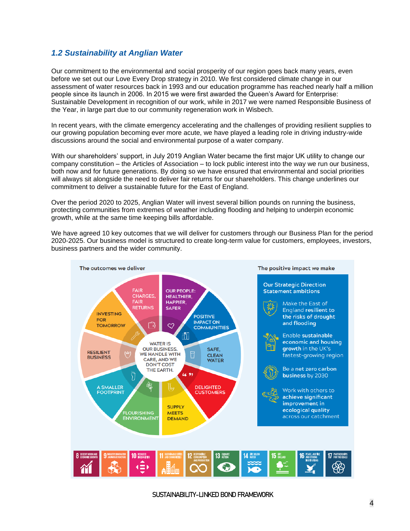# <span id="page-3-0"></span>*1.2 Sustainability at Anglian Water*

Our commitment to the environmental and social prosperity of our region goes back many years, even before we set out our Love Every Drop strategy in 2010. We first considered climate change in our assessment of water resources back in 1993 and our education programme has reached nearly half a million people since its launch in 2006. In 2015 we were first awarded the Queen's Award for Enterprise: Sustainable Development in recognition of our work, while in 2017 we were named Responsible Business of the Year, in large part due to our community regeneration work in Wisbech.

In recent years, with the climate emergency accelerating and the challenges of providing resilient supplies to our growing population becoming ever more acute, we have played a leading role in driving industry-wide discussions around the social and environmental purpose of a water company.

With our shareholders' support, in July 2019 Anglian Water became the first major UK utility to change our company constitution – the Articles of Association – to lock public interest into the way we run our business, both now and for future generations. By doing so we have ensured that environmental and social priorities will always sit alongside the need to deliver fair returns for our shareholders. This change underlines our commitment to deliver a sustainable future for the East of England.

Over the period 2020 to 2025, Anglian Water will invest several billion pounds on running the business, protecting communities from extremes of weather including flooding and helping to underpin economic growth, while at the same time keeping bills affordable.

We have agreed 10 key outcomes that we will deliver for customers through our Business Plan for the period 2020-2025. Our business model is structured to create long-term value for customers, employees, investors, business partners and the wider community.

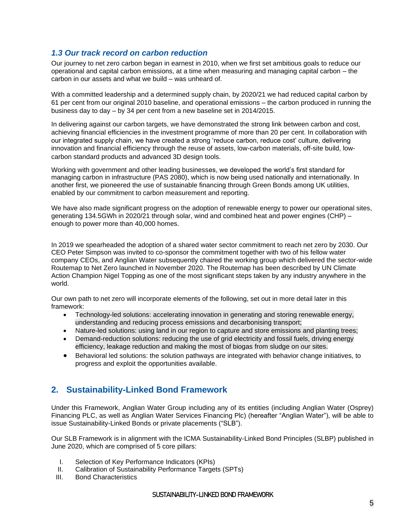## <span id="page-4-0"></span>*1.3 Our track record on carbon reduction*

Our journey to net zero carbon began in earnest in 2010, when we first set ambitious goals to reduce our operational and capital carbon emissions, at a time when measuring and managing capital carbon – the carbon in our assets and what we build – was unheard of.

With a committed leadership and a determined supply chain, by 2020/21 we had reduced capital carbon by 61 per cent from our original 2010 baseline, and operational emissions – the carbon produced in running the business day to day – by 34 per cent from a new baseline set in 2014/2015.

In delivering against our carbon targets, we have demonstrated the strong link between carbon and cost, achieving financial efficiencies in the investment programme of more than 20 per cent. In collaboration with our integrated supply chain, we have created a strong 'reduce carbon, reduce cost' culture, delivering innovation and financial efficiency through the reuse of assets, low-carbon materials, off-site build, lowcarbon standard products and advanced 3D design tools.

Working with government and other leading businesses, we developed the world's first standard for managing carbon in infrastructure (PAS 2080), which is now being used nationally and internationally. In another first, we pioneered the use of sustainable financing through Green Bonds among UK utilities, enabled by our commitment to carbon measurement and reporting.

We have also made significant progress on the adoption of renewable energy to power our operational sites, generating 134.5GWh in 2020/21 through solar, wind and combined heat and power engines (CHP) – enough to power more than 40,000 homes.

In 2019 we spearheaded the adoption of a shared water sector commitment to reach net zero by 2030. Our CEO Peter Simpson was invited to co-sponsor the commitment together with two of his fellow water company CEOs, and Anglian Water subsequently chaired the working group which delivered the sector-wide Routemap to Net Zero launched in November 2020. The Routemap has been described by UN Climate Action Champion Nigel Topping as one of the most significant steps taken by any industry anywhere in the world.

Our own path to net zero will incorporate elements of the following, set out in more detail later in this framework:

- Technology-led solutions: accelerating innovation in generating and storing renewable energy, understanding and reducing process emissions and decarbonising transport;
- Nature-led solutions: using land in our region to capture and store emissions and planting trees;
- Demand-reduction solutions: reducing the use of grid electricity and fossil fuels, driving energy efficiency, leakage reduction and making the most of biogas from sludge on our sites.
- Behavioral led solutions: the solution pathways are integrated with behavior change initiatives, to progress and exploit the opportunities available.

# <span id="page-4-1"></span>**2. Sustainability-Linked Bond Framework**

Under this Framework, Anglian Water Group including any of its entities (including Anglian Water (Osprey) Financing PLC, as well as Anglian Water Services Financing Plc) (hereafter "Anglian Water"), will be able to issue Sustainability-Linked Bonds or private placements ("SLB").

Our SLB Framework is in alignment with the ICMA Sustainability-Linked Bond Principles (SLBP) published in June 2020, which are comprised of 5 core pillars:

- I. Selection of Key Performance Indicators (KPIs)
- II. Calibration of Sustainability Performance Targets (SPTs)
- III. Bond Characteristics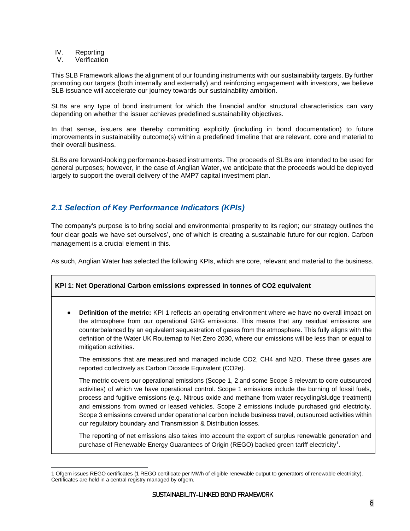- IV. Reporting
- V. Verification

This SLB Framework allows the alignment of our founding instruments with our sustainability targets. By further promoting our targets (both internally and externally) and reinforcing engagement with investors, we believe SLB issuance will accelerate our journey towards our sustainability ambition.

SLBs are any type of bond instrument for which the financial and/or structural characteristics can vary depending on whether the issuer achieves predefined sustainability objectives.

In that sense, issuers are thereby committing explicitly (including in bond documentation) to future improvements in sustainability outcome(s) within a predefined timeline that are relevant, core and material to their overall business.

SLBs are forward-looking performance-based instruments. The proceeds of SLBs are intended to be used for general purposes; however, in the case of Anglian Water, we anticipate that the proceeds would be deployed largely to support the overall delivery of the AMP7 capital investment plan.

# <span id="page-5-0"></span>*2.1 Selection of Key Performance Indicators (KPIs)*

The company's purpose is to bring social and environmental prosperity to its region; our strategy outlines the four clear goals we have set ourselves', one of which is creating a sustainable future for our region. Carbon management is a crucial element in this.

As such, Anglian Water has selected the following KPIs, which are core, relevant and material to the business.

#### **KPI 1: Net Operational Carbon emissions expressed in tonnes of CO2 equivalent**

● **Definition of the metric:** KPI 1 reflects an operating environment where we have no overall impact on the atmosphere from our operational GHG emissions. This means that any residual emissions are counterbalanced by an equivalent sequestration of gases from the atmosphere. This fully aligns with the definition of the Water UK Routemap to Net Zero 2030, where our emissions will be less than or equal to mitigation activities.

The emissions that are measured and managed include CO2, CH4 and N2O. These three gases are reported collectively as Carbon Dioxide Equivalent (CO2e).

The metric covers our operational emissions (Scope 1, 2 and some Scope 3 relevant to core outsourced activities) of which we have operational control. Scope 1 emissions include the burning of fossil fuels, process and fugitive emissions (e.g. Nitrous oxide and methane from water recycling/sludge treatment) and emissions from owned or leased vehicles. Scope 2 emissions include purchased grid electricity. Scope 3 emissions covered under operational carbon include business travel, outsourced activities within our regulatory boundary and Transmission & Distribution losses.

The reporting of net emissions also takes into account the export of surplus renewable generation and purchase of Renewable Energy Guarantees of Origin (REGO) backed green tariff electricity<sup>1</sup>.

<sup>1</sup> Ofgem issues REGO certificates (1 REGO certificate per MWh of eligible renewable output to generators of renewable electricity). Certificates are held in a central registry managed by ofgem.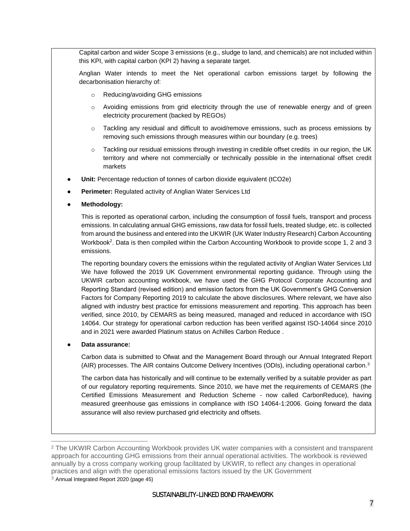Capital carbon and wider Scope 3 emissions (e.g., sludge to land, and chemicals) are not included within this KPI, with capital carbon (KPI 2) having a separate target.

Anglian Water intends to meet the Net operational carbon emissions target by following the decarbonisation hierarchy of:

- o Reducing/avoiding GHG emissions
- o Avoiding emissions from grid electricity through the use of renewable energy and of green electricity procurement (backed by REGOs)
- o Tackling any residual and difficult to avoid/remove emissions, such as process emissions by removing such emissions through measures within our boundary (e.g. trees)
- $\circ$  Tackling our residual emissions through investing in credible offset credits in our region, the UK territory and where not commercially or technically possible in the international offset credit markets
- **Unit:** Percentage reduction of tonnes of carbon dioxide equivalent (tCO2e)
- Perimeter: Regulated activity of Anglian Water Services Ltd
- **Methodology:**

This is reported as operational carbon, including the consumption of fossil fuels, transport and process emissions. In calculating annual GHG emissions, raw data for fossil fuels, treated sludge, etc. is collected from around the business and entered into the UKWIR (UK Water Industry Research) Carbon Accounting Workbook<sup>2</sup>. Data is then compiled within the Carbon Accounting Workbook to provide scope 1, 2 and 3 emissions.

The reporting boundary covers the emissions within the regulated activity of Anglian Water Services Ltd We have followed the 2019 UK Government environmental reporting guidance. Through using the UKWIR carbon accounting workbook, we have used the GHG Protocol Corporate Accounting and Reporting Standard (revised edition) and emission factors from the UK Government's GHG Conversion Factors for Company Reporting 2019 to calculate the above disclosures. Where relevant, we have also aligned with industry best practice for emissions measurement and reporting. This approach has been verified, since 2010, by CEMARS as being measured, managed and reduced in accordance with ISO 14064. Our strategy for operational carbon reduction has been verified against ISO-14064 since 2010 and in 2021 were awarded Platinum status on Achilles Carbon Reduce .

#### ● **Data assurance:**

Carbon data is submitted to Ofwat and the Management Board through our Annual Integrated Report (AIR) processes. The AIR contains Outcome Delivery Incentives (ODIs), including operational carbon.<sup>3</sup>

The carbon data has historically and will continue to be externally verified by a suitable provider as part of our regulatory reporting requirements. Since 2010, we have met the requirements of CEMARS (the Certified Emissions Measurement and Reduction Scheme - now called CarbonReduce), having measured greenhouse gas emissions in compliance with ISO 14064-1:2006. Going forward the data assurance will also review purchased grid electricity and offsets.

 $3$  [Annual Integrated Report 2020](https://www.anglianwater.co.uk/siteassets/household/about-us/air-2020.pdf) (page 45)

<sup>2</sup> The UKWIR Carbon Accounting Workbook provides UK water companies with a consistent and transparent approach for accounting GHG emissions from their annual operational activities. The workbook is reviewed annually by a cross company working group facilitated by UKWIR, to reflect any changes in operational practices and align with the operational emissions factors issued by the UK Government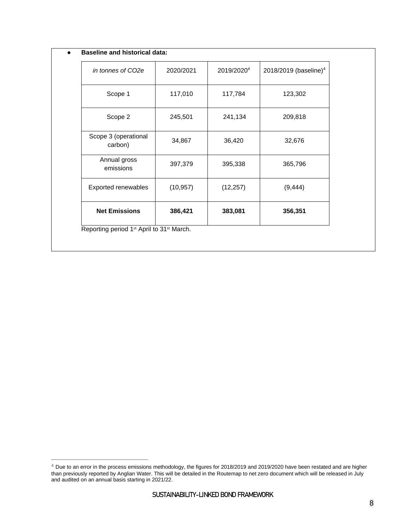| in tonnes of CO2e               | 2020/2021 | 2019/2020 <sup>4</sup> | 2018/2019 (baseline) <sup>4</sup> |
|---------------------------------|-----------|------------------------|-----------------------------------|
| Scope 1                         | 117,010   | 117,784                | 123,302                           |
| Scope 2                         | 245,501   | 241,134                | 209,818                           |
| Scope 3 (operational<br>carbon) | 34,867    | 36,420                 | 32,676                            |
| Annual gross<br>emissions       | 397,379   | 395,338                | 365,796                           |
| Exported renewables             | (10, 957) | (12, 257)              | (9, 444)                          |
| <b>Net Emissions</b>            | 386,421   | 383,081                | 356,351                           |

 $4$  Due to an error in the process emissions methodology, the figures for 2018/2019 and 2019/2020 have been restated and are higher than previously reported by Anglian Water. This will be detailed in the Routemap to net zero document which will be released in July and audited on an annual basis starting in 2021/22.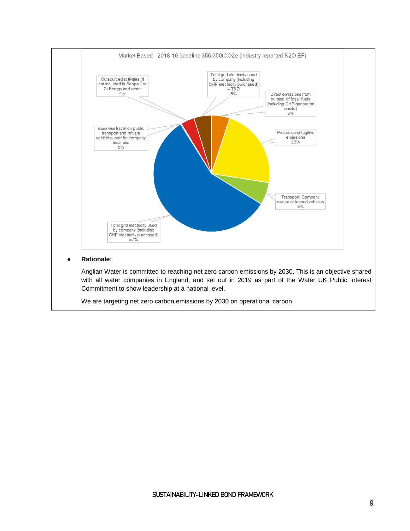

#### ● **Rationale:**

Anglian Water is committed to reaching net zero carbon emissions by 2030. This is an objective shared with all water companies in England, and set out in 2019 as part of the Water UK Public Interest Commitment to show leadership at a national level.

We are targeting net zero carbon emissions by 2030 on operational carbon.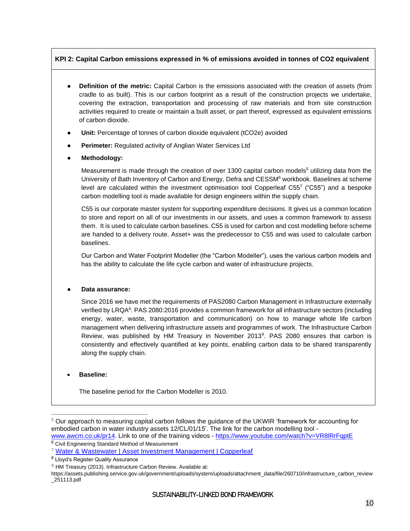### **KPI 2: Capital Carbon emissions expressed in % of emissions avoided in tonnes of CO2 equivalent**

- **Definition of the metric:** Capital Carbon is the emissions associated with the creation of assets (from cradle to as built). This is our carbon footprint as a result of the construction projects we undertake, covering the extraction, transportation and processing of raw materials and from site construction activities required to create or maintain a built asset, or part thereof, expressed as equivalent emissions of carbon dioxide.
- Unit: Percentage of tonnes of carbon dioxide equivalent (tCO2e) avoided
- **Perimeter:** Regulated activity of Anglian Water Services Ltd
- **Methodology:**

Measurement is made through the creation of over 1300 capital carbon models<sup>5</sup> utilizing data from the University of Bath Inventory of Carbon and Energy, Defra and CESSM<sup>6</sup> workbook. Baselines at scheme level are calculated within the investment optimisation tool Copperleaf C55<sup>7</sup> ("C55") and a bespoke carbon modelling tool is made available for design engineers within the supply chain.

C55 is our corporate master system for supporting expenditure decisions. It gives us a common location to store and report on all of our investments in our assets, and uses a common framework to assess them. It is used to calculate carbon baselines. C55 is used for carbon and cost modelling before scheme are handed to a delivery route. Asset+ was the predecessor to C55 and was used to calculate carbon baselines.

Our Carbon and Water Footprint Modeller (the "Carbon Modeller"), uses the various carbon models and has the ability to calculate the life cycle carbon and water of infrastructure projects.

#### ● **Data assurance:**

Since 2016 we have met the requirements of PAS2080 Carbon Management in Infrastructure externally verified by LRQA<sup>8</sup>. PAS 2080:2016 provides a common framework for all infrastructure sectors (including energy, water, waste, transportation and communication) on how to manage whole life carbon management when delivering infrastructure assets and programmes of work. The Infrastructure Carbon Review, was published by HM Treasury in November 2013<sup>9</sup>. PAS 2080 ensures that carbon is consistently and effectively quantified at key points, enabling carbon data to be shared transparently along the supply chain.

#### • **Baseline:**

The baseline period for the Carbon Modeller is 2010.

<sup>5</sup> Our approach to measuring capital carbon follows the guidance of the UKWIR 'framework for accounting for embodied carbon in water industry assets 12/CL/01/15'. The link for the carbon modelling tool [www.awcm.co.uk/pr14.](http://www.awcm.co.uk/pr14) Link to one of the training videos - <https://www.youtube.com/watch?v=VR8lRrFqptE>

<sup>6</sup> Civil Engineering Standard Method of Measurement

<sup>7</sup> [Water & Wastewater | Asset Investment Management | Copperleaf](https://www.copperleaf.com/water-waste-water/)

<sup>8</sup> Lloyd's Register Quality Assurance

 $9$  HM Treasury (2013). Infrastructure Carbon Review. Available at:

https://assets.publishing.service.gov.uk/government/uploads/system/uploads/attachment\_data/file/260710/infrastructure\_carbon\_review \_251113.pdf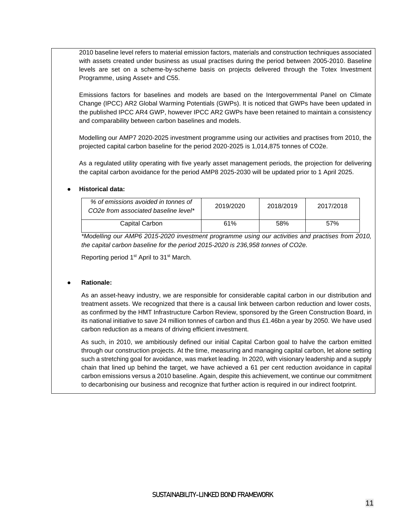2010 baseline level refers to material emission factors, materials and construction techniques associated with assets created under business as usual practises during the period between 2005-2010. Baseline levels are set on a scheme-by-scheme basis on projects delivered through the Totex Investment Programme, using Asset+ and C55.

Emissions factors for baselines and models are based on the Intergovernmental Panel on Climate Change (IPCC) AR2 Global Warming Potentials (GWPs). It is noticed that GWPs have been updated in the published IPCC AR4 GWP, however IPCC AR2 GWPs have been retained to maintain a consistency and comparability between carbon baselines and models.

Modelling our AMP7 2020-2025 investment programme using our activities and practises from 2010, the projected capital carbon baseline for the period 2020-2025 is 1,014,875 tonnes of CO2e.

As a regulated utility operating with five yearly asset management periods, the projection for delivering the capital carbon avoidance for the period AMP8 2025-2030 will be updated prior to 1 April 2025.

#### ● **Historical data:**

| % of emissions avoided in tonnes of<br>CO <sub>2</sub> e from associated baseline level* | 2019/2020 | 2018/2019 | 2017/2018 |
|------------------------------------------------------------------------------------------|-----------|-----------|-----------|
| Capital Carbon                                                                           | 61%       | 58%       | 57%       |

*\*Modelling our AMP6 2015-2020 investment programme using our activities and practises from 2010, the capital carbon baseline for the period 2015-2020 is 236,958 tonnes of CO2e.*

Reporting period 1<sup>st</sup> April to 31<sup>st</sup> March.

#### ● **Rationale:**

As an asset-heavy industry, we are responsible for considerable capital carbon in our distribution and treatment assets. We recognized that there is a causal link between carbon reduction and lower costs, as confirmed by the HMT Infrastructure Carbon Review, sponsored by the Green Construction Board, in its national initiative to save 24 million tonnes of carbon and thus £1.46bn a year by 2050. We have used carbon reduction as a means of driving efficient investment.

<span id="page-10-0"></span>As such, in 2010, we ambitiously defined our initial Capital Carbon goal to halve the carbon emitted through our construction projects. At the time, measuring and managing capital carbon, let alone setting such a stretching goal for avoidance, was market leading. In 2020, with visionary leadership and a supply chain that lined up behind the target, we have achieved a 61 per cent reduction avoidance in capital carbon emissions versus a 2010 baseline. Again, despite this achievement, we continue our commitment to decarbonising our business and recognize that further action is required in our indirect footprint.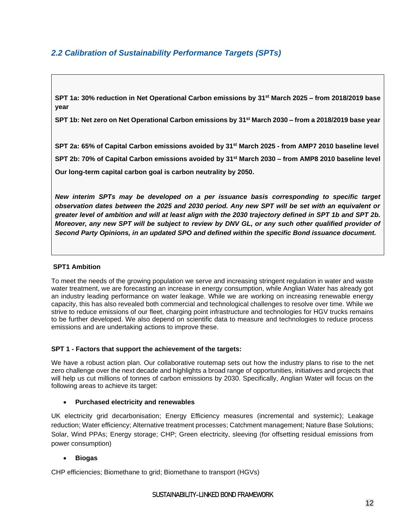# *2.2 Calibration of Sustainability Performance Targets (SPTs)*

**SPT 1a: 30% reduction in Net Operational Carbon emissions by 31st March 2025 – from 2018/2019 base year**

**SPT 1b: Net zero on Net Operational Carbon emissions by 31st March 2030 – from a 2018/2019 base year** 

**SPT 2a: 65% of Capital Carbon emissions avoided by 31st March 2025 - from AMP7 2010 baseline level SPT 2b: 70% of Capital Carbon emissions avoided by 31st March 2030 – from AMP8 2010 baseline level Our long-term capital carbon goal is carbon neutrality by 2050.**

*New interim SPTs may be developed on a per issuance basis corresponding to specific target observation dates between the 2025 and 2030 period. Any new SPT will be set with an equivalent or greater level of ambition and will at least align with the 2030 trajectory defined in SPT 1b and SPT 2b. Moreover, any new SPT will be subject to review by DNV GL, or any such other qualified provider of Second Party Opinions, in an updated SPO and defined within the specific Bond issuance document.*

### **SPT1 Ambition**

To meet the needs of the growing population we serve and increasing stringent regulation in water and waste water treatment, we are forecasting an increase in energy consumption, while Anglian Water has already got an industry leading performance on water leakage. While we are working on increasing renewable energy capacity, this has also revealed both commercial and technological challenges to resolve over time. While we strive to reduce emissions of our fleet, charging point infrastructure and technologies for HGV trucks remains to be further developed. We also depend on scientific data to measure and technologies to reduce process emissions and are undertaking actions to improve these.

#### **SPT 1 - Factors that support the achievement of the targets:**

We have a robust action plan. Our collaborative routemap sets out how the industry plans to rise to the net zero challenge over the next decade and highlights a broad range of opportunities, initiatives and projects that will help us cut millions of tonnes of carbon emissions by 2030. Specifically, Anglian Water will focus on the following areas to achieve its target:

#### • **Purchased electricity and renewables**

UK electricity grid decarbonisation; Energy Efficiency measures (incremental and systemic); Leakage reduction; Water efficiency; Alternative treatment processes; Catchment management; Nature Base Solutions; Solar, Wind PPAs; Energy storage; CHP; Green electricity, sleeving (for offsetting residual emissions from power consumption)

#### • **Biogas**

CHP efficiencies; Biomethane to grid; Biomethane to transport (HGVs)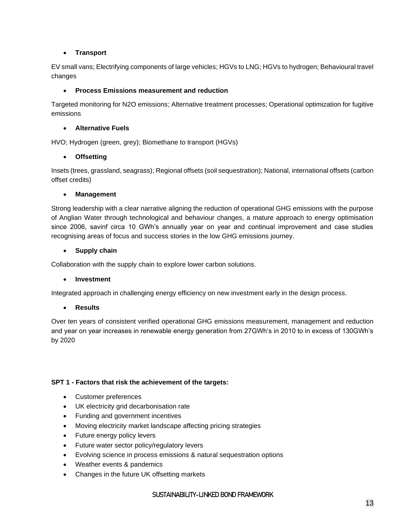## • **Transport**

EV small vans; Electrifying components of large vehicles; HGVs to LNG; HGVs to hydrogen; Behavioural travel changes

## • **Process Emissions measurement and reduction**

Targeted monitoring for N2O emissions; Alternative treatment processes; Operational optimization for fugitive emissions

## • **Alternative Fuels**

HVO; Hydrogen (green, grey); Biomethane to transport (HGVs)

## • **Offsetting**

Insets (trees, grassland, seagrass); Regional offsets (soil sequestration); National, international offsets (carbon offset credits)

#### • **Management**

Strong leadership with a clear narrative aligning the reduction of operational GHG emissions with the purpose of Anglian Water through technological and behaviour changes, a mature approach to energy optimisation since 2006, savinf circa 10 GWh's annually year on year and continual improvement and case studies recognising areas of focus and success stories in the low GHG emissions journey.

#### • **Supply chain**

Collaboration with the supply chain to explore lower carbon solutions.

#### • **Investment**

Integrated approach in challenging energy efficiency on new investment early in the design process.

#### • **Results**

Over ten years of consistent verified operational GHG emissions measurement, management and reduction and year on year increases in renewable energy generation from 27GWh's in 2010 to in excess of 130GWh's by 2020

#### **SPT 1 - Factors that risk the achievement of the targets:**

- Customer preferences
- UK electricity grid decarbonisation rate
- Funding and government incentives
- Moving electricity market landscape affecting pricing strategies
- Future energy policy levers
- Future water sector policy/regulatory levers
- Evolving science in process emissions & natural sequestration options
- Weather events & pandemics
- Changes in the future UK offsetting markets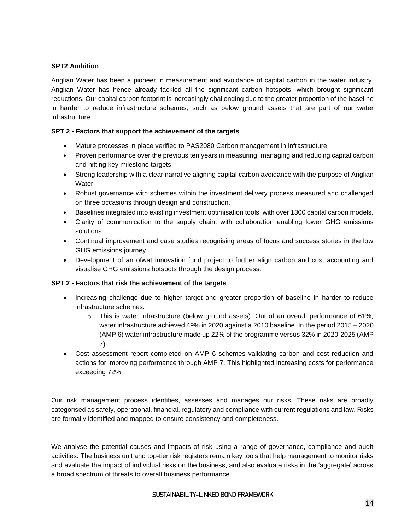### **SPT2 Ambition**

Anglian Water has been a pioneer in measurement and avoidance of capital carbon in the water industry. Anglian Water has hence already tackled all the significant carbon hotspots, which brought significant reductions. Our capital carbon footprint is increasingly challenging due to the greater proportion of the baseline in harder to reduce infrastructure schemes, such as below ground assets that are part of our water infrastructure.

### **SPT 2 - Factors that support the achievement of the targets**

- Mature processes in place verified to PAS2080 Carbon management in infrastructure
- Proven performance over the previous ten years in measuring, managing and reducing capital carbon and hitting key milestone targets
- Strong leadership with a clear narrative aligning capital carbon avoidance with the purpose of Anglian **Water**
- Robust governance with schemes within the investment delivery process measured and challenged on three occasions through design and construction.
- Baselines integrated into existing investment optimisation tools, with over 1300 capital carbon models.
- Clarity of communication to the supply chain, with collaboration enabling lower GHG emissions solutions.
- Continual improvement and case studies recognising areas of focus and success stories in the low GHG emissions journey
- Development of an ofwat innovation fund project to further align carbon and cost accounting and visualise GHG emissions hotspots through the design process.

#### **SPT 2 - Factors that risk the achievement of the targets**

- Increasing challenge due to higher target and greater proportion of baseline in harder to reduce infrastructure schemes.
	- $\circ$  This is water infrastructure (below ground assets). Out of an overall performance of 61%, water infrastructure achieved 49% in 2020 against a 2010 baseline. In the period 2015 – 2020 (AMP 6) water infrastructure made up 22% of the programme versus 32% in 2020-2025 (AMP 7).
- Cost assessment report completed on AMP 6 schemes validating carbon and cost reduction and actions for improving performance through AMP 7. This highlighted increasing costs for performance exceeding 72%.

Our risk management process identifies, assesses and manages our risks. These risks are broadly categorised as safety, operational, financial, regulatory and compliance with current regulations and law. Risks are formally identified and mapped to ensure consistency and completeness.

We analyse the potential causes and impacts of risk using a range of governance, compliance and audit activities. The business unit and top-tier risk registers remain key tools that help management to monitor risks and evaluate the impact of individual risks on the business, and also evaluate risks in the 'aggregate' across a broad spectrum of threats to overall business performance.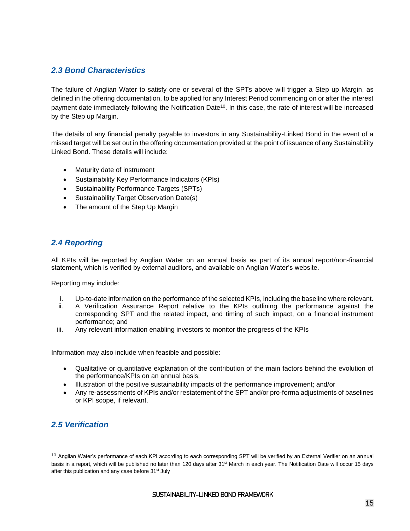# <span id="page-14-0"></span>*2.3 Bond Characteristics*

The failure of Anglian Water to satisfy one or several of the SPTs above will trigger a Step up Margin, as defined in the offering documentation, to be applied for any Interest Period commencing on or after the interest payment date immediately following the Notification Date<sup>10</sup>. In this case, the rate of interest will be increased by the Step up Margin.

The details of any financial penalty payable to investors in any Sustainability-Linked Bond in the event of a missed target will be set out in the offering documentation provided at the point of issuance of any Sustainability Linked Bond. These details will include:

- Maturity date of instrument
- Sustainability Key Performance Indicators (KPIs)
- Sustainability Performance Targets (SPTs)
- Sustainability Target Observation Date(s)
- The amount of the Step Up Margin

# <span id="page-14-1"></span>*2.4 Reporting*

All KPIs will be reported by Anglian Water on an annual basis as part of its annual report/non-financial statement, which is verified by external auditors, and available on Anglian Water's website.

Reporting may include:

- i. Up-to-date information on the performance of the selected KPIs, including the baseline where relevant.
- ii. A Verification Assurance Report relative to the KPIs outlining the performance against the corresponding SPT and the related impact, and timing of such impact, on a financial instrument performance; and
- iii. Any relevant information enabling investors to monitor the progress of the KPIs

Information may also include when feasible and possible:

- Qualitative or quantitative explanation of the contribution of the main factors behind the evolution of the performance/KPIs on an annual basis;
- Illustration of the positive sustainability impacts of the performance improvement; and/or
- Any re-assessments of KPIs and/or restatement of the SPT and/or pro-forma adjustments of baselines or KPI scope, if relevant.

# <span id="page-14-2"></span>*2.5 Verification*

 $10$  Anglian Water's performance of each KPI according to each corresponding SPT will be verified by an External Verifier on an annual basis in a report, which will be published no later than 120 days after 31<sup>st</sup> March in each year. The Notification Date will occur 15 days after this publication and any case before 31<sup>st</sup> July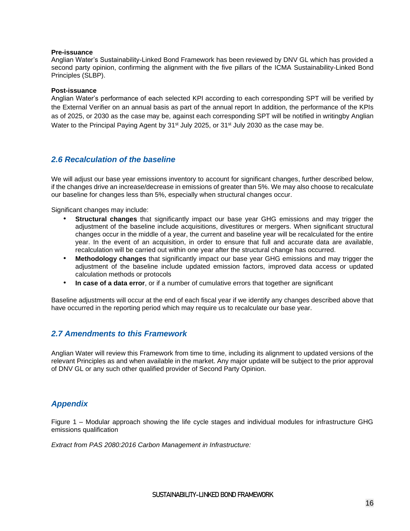#### **Pre-issuance**

Anglian Water's Sustainability-Linked Bond Framework has been reviewed by DNV GL which has provided a second party opinion, confirming the alignment with the five pillars of the ICMA Sustainability-Linked Bond Principles (SLBP).

#### **Post-issuance**

Anglian Water's performance of each selected KPI according to each corresponding SPT will be verified by the External Verifier on an annual basis as part of the annual report In addition, the performance of the KPIs as of 2025, or 2030 as the case may be, against each corresponding SPT will be notified in writingby Anglian Water to the Principal Paying Agent by 31<sup>st</sup> July 2025, or 31<sup>st</sup> July 2030 as the case may be.

## <span id="page-15-0"></span>*2.6 Recalculation of the baseline*

We will adjust our base year emissions inventory to account for significant changes, further described below, if the changes drive an increase/decrease in emissions of greater than 5%. We may also choose to recalculate our baseline for changes less than 5%, especially when structural changes occur.

Significant changes may include:

- **Structural changes** that significantly impact our base year GHG emissions and may trigger the adjustment of the baseline include acquisitions, divestitures or mergers. When significant structural changes occur in the middle of a year, the current and baseline year will be recalculated for the entire year. In the event of an acquisition, in order to ensure that full and accurate data are available, recalculation will be carried out within one year after the structural change has occurred.
- **Methodology changes** that significantly impact our base year GHG emissions and may trigger the adjustment of the baseline include updated emission factors, improved data access or updated calculation methods or protocols
- **In case of a data error**, or if a number of cumulative errors that together are significant

Baseline adjustments will occur at the end of each fiscal year if we identify any changes described above that have occurred in the reporting period which may require us to recalculate our base year.

## <span id="page-15-1"></span>*2.7 Amendments to this Framework*

Anglian Water will review this Framework from time to time, including its alignment to updated versions of the relevant Principles as and when available in the market. Any major update will be subject to the prior approval of DNV GL or any such other qualified provider of Second Party Opinion.

## *Appendix*

Figure 1 – Modular approach showing the life cycle stages and individual modules for infrastructure GHG emissions qualification

*Extract from PAS 2080:2016 Carbon Management in Infrastructure:*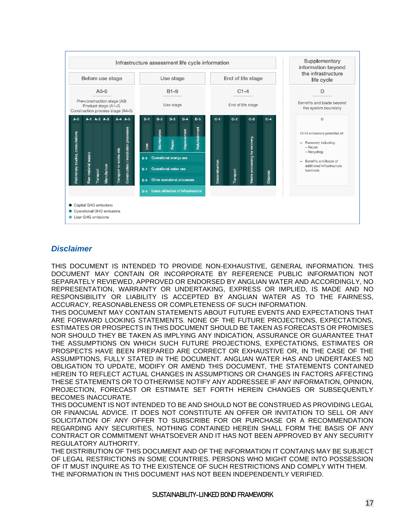

## *Disclaimer*

THIS DOCUMENT IS INTENDED TO PROVIDE NON-EXHAUSTIVE, GENERAL INFORMATION. THIS DOCUMENT MAY CONTAIN OR INCORPORATE BY REFERENCE PUBLIC INFORMATION NOT SEPARATELY REVIEWED, APPROVED OR ENDORSED BY ANGLIAN WATER AND ACCORDINGLY, NO REPRESENTATION, WARRANTY OR UNDERTAKING, EXPRESS OR IMPLIED, IS MADE AND NO RESPONSIBILITY OR LIABILITY IS ACCEPTED BY ANGLIAN WATER AS TO THE FAIRNESS, ACCURACY, REASONABLENESS OR COMPLETENESS OF SUCH INFORMATION.

THIS DOCUMENT MAY CONTAIN STATEMENTS ABOUT FUTURE EVENTS AND EXPECTATIONS THAT ARE FORWARD LOOKING STATEMENTS. NONE OF THE FUTURE PROJECTIONS, EXPECTATIONS, ESTIMATES OR PROSPECTS IN THIS DOCUMENT SHOULD BE TAKEN AS FORECASTS OR PROMISES NOR SHOULD THEY BE TAKEN AS IMPLYING ANY INDICATION, ASSURANCE OR GUARANTEE THAT THE ASSUMPTIONS ON WHICH SUCH FUTURE PROJECTIONS, EXPECTATIONS, ESTIMATES OR PROSPECTS HAVE BEEN PREPARED ARE CORRECT OR EXHAUSTIVE OR, IN THE CASE OF THE ASSUMPTIONS, FULLY STATED IN THE DOCUMENT. ANGLIAN WATER HAS AND UNDERTAKES NO OBLIGATION TO UPDATE, MODIFY OR AMEND THIS DOCUMENT, THE STATEMENTS CONTAINED HEREIN TO REFLECT ACTUAL CHANGES IN ASSUMPTIONS OR CHANGES IN FACTORS AFFECTING THESE STATEMENTS OR TO OTHERWISE NOTIFY ANY ADDRESSEE IF ANY INFORMATION, OPINION, PROJECTION, FORECAST OR ESTIMATE SET FORTH HEREIN CHANGES OR SUBSEQUENTLY BECOMES INACCURATE.

THIS DOCUMENT IS NOT INTENDED TO BE AND SHOULD NOT BE CONSTRUED AS PROVIDING LEGAL OR FINANCIAL ADVICE. IT DOES NOT CONSTITUTE AN OFFER OR INVITATION TO SELL OR ANY SOLICITATION OF ANY OFFER TO SUBSCRIBE FOR OR PURCHASE OR A RECOMMENDATION REGARDING ANY SECURITIES, NOTHING CONTAINED HEREIN SHALL FORM THE BASIS OF ANY CONTRACT OR COMMITMENT WHATSOEVER AND IT HAS NOT BEEN APPROVED BY ANY SECURITY REGULATORY AUTHORITY.

THE DISTRIBUTION OF THIS DOCUMENT AND OF THE INFORMATION IT CONTAINS MAY BE SUBJECT OF LEGAL RESTRICTIONS IN SOME COUNTRIES. PERSONS WHO MIGHT COME INTO POSSESSION OF IT MUST INQUIRE AS TO THE EXISTENCE OF SUCH RESTRICTIONS AND COMPLY WITH THEM. THE INFORMATION IN THIS DOCUMENT HAS NOT BEEN INDEPENDENTLY VERIFIED.